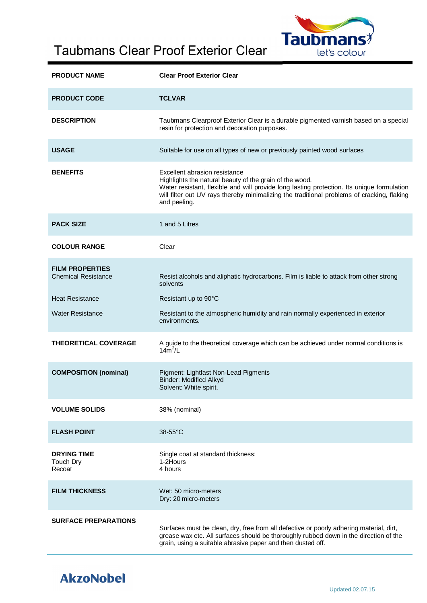## Taubmans Clear Proof Exterior Clear



| <b>PRODUCT NAME</b>                                  | <b>Clear Proof Exterior Clear</b>                                                                                                                                                                                                                                                                    |  |
|------------------------------------------------------|------------------------------------------------------------------------------------------------------------------------------------------------------------------------------------------------------------------------------------------------------------------------------------------------------|--|
| <b>PRODUCT CODE</b>                                  | <b>TCLVAR</b>                                                                                                                                                                                                                                                                                        |  |
| <b>DESCRIPTION</b>                                   | Taubmans Clearproof Exterior Clear is a durable pigmented varnish based on a special<br>resin for protection and decoration purposes.                                                                                                                                                                |  |
| <b>USAGE</b>                                         | Suitable for use on all types of new or previously painted wood surfaces                                                                                                                                                                                                                             |  |
| <b>BENEFITS</b>                                      | Excellent abrasion resistance<br>Highlights the natural beauty of the grain of the wood.<br>Water resistant, flexible and will provide long lasting protection. Its unique formulation<br>will filter out UV rays thereby minimalizing the traditional problems of cracking, flaking<br>and peeling. |  |
| <b>PACK SIZE</b>                                     | 1 and 5 Litres                                                                                                                                                                                                                                                                                       |  |
| <b>COLOUR RANGE</b>                                  | Clear                                                                                                                                                                                                                                                                                                |  |
| <b>FILM PROPERTIES</b><br><b>Chemical Resistance</b> | Resist alcohols and aliphatic hydrocarbons. Film is liable to attack from other strong<br>solvents                                                                                                                                                                                                   |  |
| <b>Heat Resistance</b>                               | Resistant up to 90°C                                                                                                                                                                                                                                                                                 |  |
| <b>Water Resistance</b>                              | Resistant to the atmospheric humidity and rain normally experienced in exterior<br>environments.                                                                                                                                                                                                     |  |
| <b>THEORETICAL COVERAGE</b>                          | A guide to the theoretical coverage which can be achieved under normal conditions is<br>$14m^2/L$                                                                                                                                                                                                    |  |
| <b>COMPOSITION (nominal)</b>                         | Pigment: Lightfast Non-Lead Pigments<br><b>Binder: Modified Alkyd</b><br>Solvent: White spirit.                                                                                                                                                                                                      |  |
| <b>VOLUME SOLIDS</b>                                 | 38% (nominal)                                                                                                                                                                                                                                                                                        |  |
| <b>FLASH POINT</b>                                   | $38-55$ °C                                                                                                                                                                                                                                                                                           |  |
| <b>DRYING TIME</b><br>Touch Dry<br>Recoat            | Single coat at standard thickness:<br>1-2Hours<br>4 hours                                                                                                                                                                                                                                            |  |
| <b>FILM THICKNESS</b>                                | Wet: 50 micro-meters<br>Dry: 20 micro-meters                                                                                                                                                                                                                                                         |  |
| <b>SURFACE PREPARATIONS</b>                          | Surfaces must be clean, dry, free from all defective or poorly adhering material, dirt,<br>grease wax etc. All surfaces should be thoroughly rubbed down in the direction of the<br>grain, using a suitable abrasive paper and then dusted off.                                                      |  |

## **AkzoNobel**